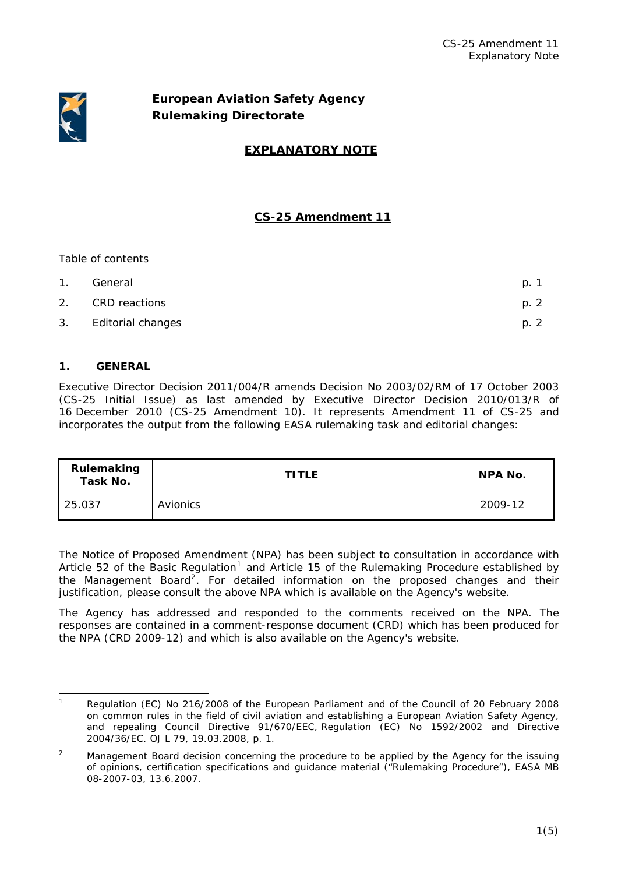

# **European Aviation Safety Agency Rulemaking Directorate**

# **EXPLANATORY NOTE**

# **CS-25 Amendment 11**

# *Table of contents*

| 1. | General           | p. 1 |
|----|-------------------|------|
| 2. | CRD reactions     | p. 2 |
| 3. | Editorial changes | p. 2 |

# **1. GENERAL**

Executive Director Decision 2011/004/R amends Decision No 2003/02/RM of 17 October 2003 (CS-25 Initial Issue) as last amended by Executive Director Decision 2010/013/R of 16 December 2010 (CS-25 Amendment 10). It represents Amendment 11 of CS-25 and incorporates the output from the following EASA rulemaking task and editorial changes:

| Rulemaking<br>Task No. | <b>TITLE</b> | NPA No. |
|------------------------|--------------|---------|
| 25.037                 | Avionics     | 2009-12 |

The Notice of Proposed Amendment (NPA) has been subject to consultation in accordance with Article 52 of the Basic Regulation<sup>[1](#page-0-0)</sup> and Article 15 of the Rulemaking Procedure established by the Management Board<sup>[2](#page-0-1)</sup>. For detailed information on the proposed changes and their justification, please consult the above NPA which is available on the Agency's website.

The Agency has addressed and responded to the comments received on the NPA. The responses are contained in a comment-response document (CRD) which has been produced for the NPA (CRD 2009-12) and which is also available on the Agency's website.

<span id="page-0-0"></span> 1 Regulation (EC) No 216/2008 of the European Parliament and of the Council of 20 February 2008 on common rules in the field of civil aviation and establishing a European Aviation Safety Agency, and repealing Council Directive 91/670/EEC, Regulation (EC) No 1592/2002 and Directive 2004/36/EC. OJ L 79, 19.03.2008, p. 1.

<span id="page-0-1"></span> $\overline{2}$  Management Board decision concerning the procedure to be applied by the Agency for the issuing of opinions, certification specifications and guidance material ("Rulemaking Procedure"), EASA MB 08-2007-03, 13.6.2007.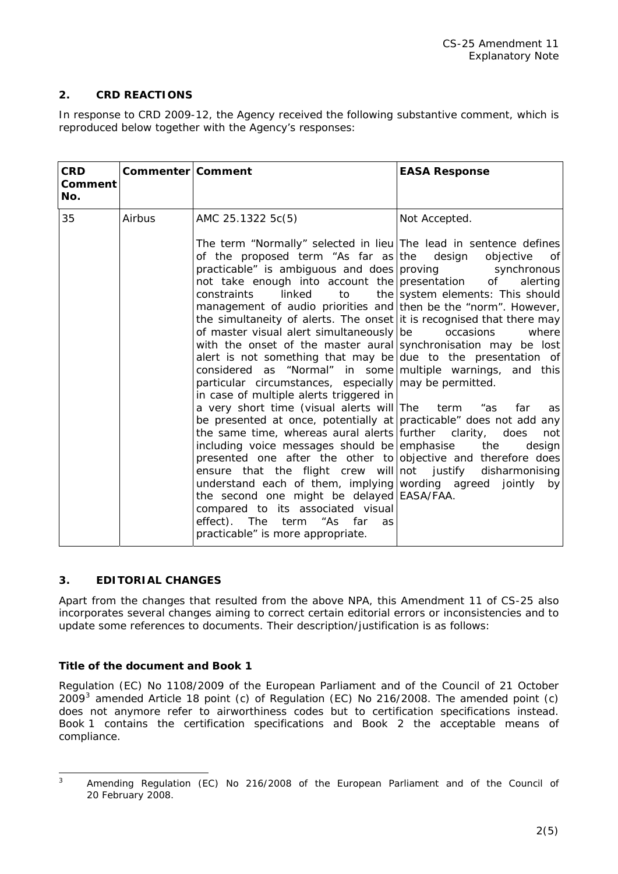# **2. CRD REACTIONS**

In response to CRD 2009-12, the Agency received the following substantive comment, which is reproduced below together with the Agency's responses:

| <b>CRD</b><br>Comment<br>No. | Commenter   Comment |                                                                                                                                                                                                                                                                                                                                                                                                                                                                                                                                                                                                                                                                                                                                                                                                                                                                                                                                                                                                                                                                                                                                                                                                                                                                                                                                                                                               | <b>EASA Response</b>                                                                                                                                |
|------------------------------|---------------------|-----------------------------------------------------------------------------------------------------------------------------------------------------------------------------------------------------------------------------------------------------------------------------------------------------------------------------------------------------------------------------------------------------------------------------------------------------------------------------------------------------------------------------------------------------------------------------------------------------------------------------------------------------------------------------------------------------------------------------------------------------------------------------------------------------------------------------------------------------------------------------------------------------------------------------------------------------------------------------------------------------------------------------------------------------------------------------------------------------------------------------------------------------------------------------------------------------------------------------------------------------------------------------------------------------------------------------------------------------------------------------------------------|-----------------------------------------------------------------------------------------------------------------------------------------------------|
| 35                           | Airbus              | AMC 25.1322 5c(5)<br>The term "Normally" selected in lieu The lead in sentence defines<br>of the proposed term "As far as the design<br>practicable" is ambiguous and does proving synchronous<br>not take enough into account the presentation of<br><b>constraints</b><br>linked<br>to<br>management of audio priorities and then be the "norm". However,<br>the simultaneity of alerts. The onset it is recognised that there may<br>of master visual alert simultaneously be<br>with the onset of the master aural synchronisation may be lost<br>alert is not something that may be due to the presentation of<br>considered as "Normal" in some multiple warnings, and this<br>particular circumstances, especially may be permitted.<br>in case of multiple alerts triggered in<br>a very short time (visual alerts will The term<br>be presented at once, potentially at practicable" does not add any<br>the same time, whereas aural alerts further clarity, does<br>including voice messages should be emphasise<br>presented one after the other to objective and therefore does<br>ensure that the flight crew will not justify disharmonising<br>understand each of them, implying wording agreed jointly by<br>the second one might be delayed EASA/FAA.<br>compared to its associated visual<br>effect). The<br>term<br>"As<br>far<br>as<br>practicable" is more appropriate. | Not Accepted.<br>objective<br>0f<br>alerting<br>the system elements: This should<br>occasions<br>where<br>far<br>as "<br>as<br>not<br>the<br>design |

# **3. EDITORIAL CHANGES**

Apart from the changes that resulted from the above NPA, this Amendment 11 of CS-25 also incorporates several changes aiming to correct certain editorial errors or inconsistencies and to update some references to documents. Their description/justification is as follows:

## **Title of the document and Book 1**

Regulation (EC) No 1108/2009 of the European Parliament and of the Council of 21 October  $2009<sup>3</sup>$  $2009<sup>3</sup>$  $2009<sup>3</sup>$  amended Article 18 point (c) of Regulation (EC) No 216/2008. The amended point (c) does not anymore refer to airworthiness codes but to certification specifications instead. Book 1 contains the certification specifications and Book 2 the acceptable means of compliance.

<span id="page-1-0"></span> 3

Amending Regulation (EC) No 216/2008 of the European Parliament and of the Council of 20 February 2008.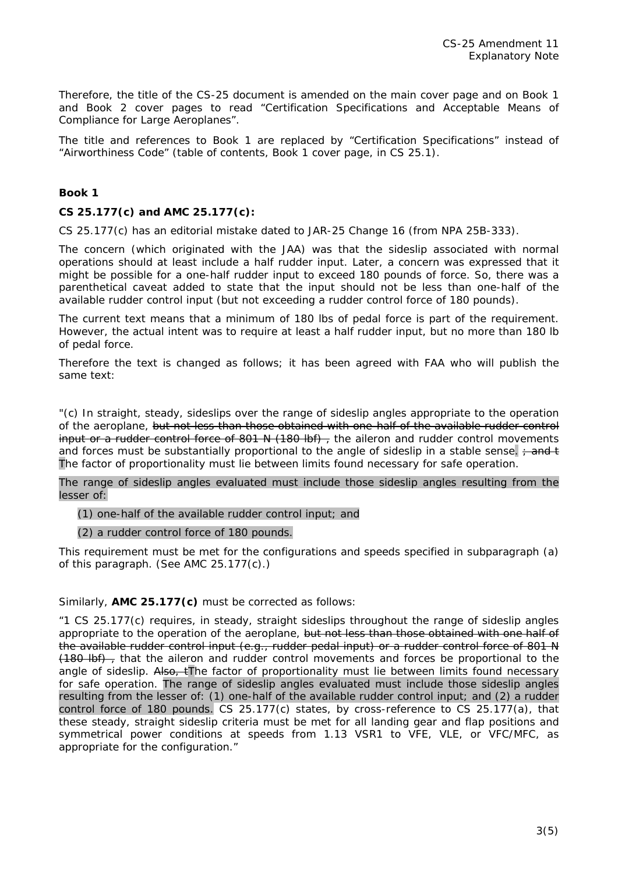Therefore, the title of the CS-25 document is amended on the main cover page and on Book 1 and Book 2 cover pages to read "Certification Specifications and Acceptable Means of Compliance for Large Aeroplanes".

The title and references to Book 1 are replaced by "Certification Specifications" instead of "Airworthiness Code" (table of contents, Book 1 cover page, in CS 25.1).

#### **Book 1**

## **CS 25.177(c) and AMC 25.177(c):**

CS 25.177(c) has an editorial mistake dated to JAR-25 Change 16 (from NPA 25B-333).

The concern (which originated with the JAA) was that the sideslip associated with normal operations should at least include a half rudder input. Later, a concern was expressed that it might be possible for a one-half rudder input to exceed 180 pounds of force. So, there was a parenthetical caveat added to state that the input should not be less than one-half of the available rudder control input (but not exceeding a rudder control force of 180 pounds).

The current text means that a minimum of 180 lbs of pedal force is part of the requirement. However, the actual intent was to require at least a half rudder input, but no more than 180 lb of pedal force.

Therefore the text is changed as follows; it has been agreed with FAA who will publish the same text:

"(c) In straight, steady, sideslips over the range of sideslip angles appropriate to the operation of the aeroplane, but not less than those obtained with one-half of the available rudder control input or a rudder control force of 801 N (180 lbf) , the aileron and rudder control movements and forces must be substantially proportional to the angle of sideslip in a stable sense.  $\div$  and t The factor of proportionality must lie between limits found necessary for safe operation.

The range of sideslip angles evaluated must include those sideslip angles resulting from the lesser of:

(1) one-half of the available rudder control input; and

(2) a rudder control force of 180 pounds.

This requirement must be met for the configurations and speeds specified in subparagraph (a) of this paragraph. (See AMC 25.177(c).)

Similarly, **AMC 25.177(c)** must be corrected as follows:

"1 CS 25.177(c) requires, in steady, straight sideslips throughout the range of sideslip angles appropriate to the operation of the aeroplane, but not less than those obtained with one half of the available rudder control input (e.g., rudder pedal input) or a rudder control force of 801 N (180 lbf), that the aileron and rudder control movements and forces be proportional to the angle of sideslip. Also, tThe factor of proportionality must lie between limits found necessary for safe operation. The range of sideslip angles evaluated must include those sideslip angles resulting from the lesser of: (1) one-half of the available rudder control input; and (2) a rudder control force of 180 pounds. CS 25.177(c) states, by cross-reference to CS 25.177(a), that these steady, straight sideslip criteria must be met for all landing gear and flap positions and symmetrical power conditions at speeds from 1.13 VSR1 to VFE, VLE, or VFC/MFC, as appropriate for the configuration."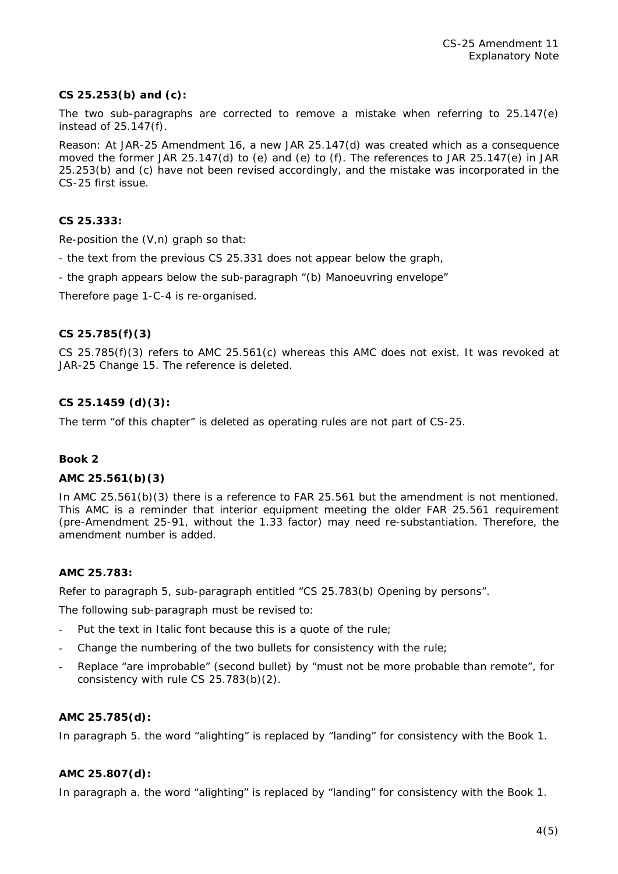## **CS 25.253(b) and (c):**

The two sub-paragraphs are corrected to remove a mistake when referring to 25.147(e) instead of 25.147(f).

Reason: At JAR-25 Amendment 16, a new JAR 25.147(d) was created which as a consequence moved the former JAR 25.147(d) to (e) and (e) to (f). The references to JAR 25.147(e) in JAR 25.253(b) and (c) have not been revised accordingly, and the mistake was incorporated in the CS-25 first issue.

## **CS 25.333:**

Re-position the (V,n) graph so that:

- the text from the previous CS 25.331 does not appear below the graph,
- the graph appears below the sub-paragraph "(b) Manoeuvring envelope"

Therefore page 1-C-4 is re-organised.

## **CS 25.785(f)(3)**

CS 25.785(f)(3) refers to AMC 25.561(c) whereas this AMC does not exist. It was revoked at JAR-25 Change 15. The reference is deleted.

## **CS 25.1459 (d)(3):**

The term "of this chapter" is deleted as operating rules are not part of CS-25.

#### **Book 2**

#### **AMC 25.561(b)(3)**

In AMC 25.561(b)(3) there is a reference to FAR 25.561 but the amendment is not mentioned. This AMC is a reminder that interior equipment meeting the older FAR 25.561 requirement (pre-Amendment 25-91, without the 1.33 factor) may need re-substantiation. Therefore, the amendment number is added.

## **AMC 25.783:**

Refer to paragraph 5, sub-paragraph entitled "CS 25.783(b) Opening by persons".

The following sub-paragraph must be revised to:

- Put the text in Italic font because this is a quote of the rule;
- Change the numbering of the two bullets for consistency with the rule;
- Replace "are improbable" (second bullet) by "must not be more probable than remote", for consistency with rule CS 25.783(b)(2).

#### **AMC 25.785(d):**

In paragraph 5. the word "alighting" is replaced by "landing" for consistency with the Book 1.

#### **AMC 25.807(d):**

In paragraph a. the word "alighting" is replaced by "landing" for consistency with the Book 1.